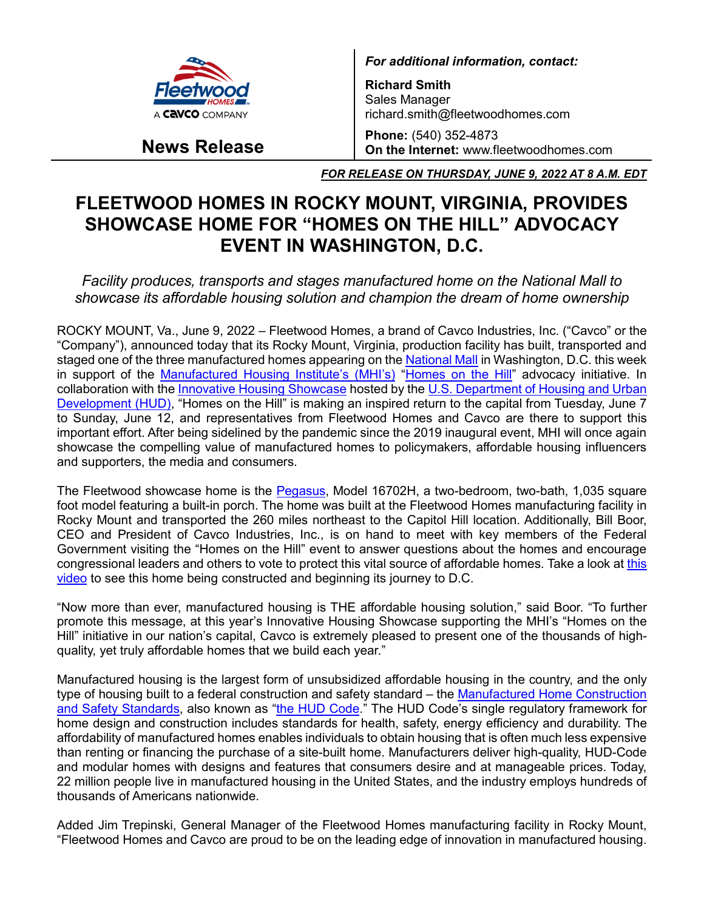

**News Release**

*For additional information, contact:*

**Richard Smith** Sales Manager richard.smith@fleetwoodhomes.com

**Phone:** (540) 352-4873 **On the Internet:** www.fleetwoodhomes.com

*FOR RELEASE ON THURSDAY, JUNE 9, 2022 AT 8 A.M. EDT*

## **FLEETWOOD HOMES IN ROCKY MOUNT, VIRGINIA, PROVIDES SHOWCASE HOME FOR "HOMES ON THE HILL" ADVOCACY EVENT IN WASHINGTON, D.C.**

*Facility produces, transports and stages manufactured home on the National Mall to showcase its affordable housing solution and champion the dream of home ownership*

ROCKY MOUNT, Va., June 9, 2022 – Fleetwood Homes, a brand of Cavco Industries, Inc. ("Cavco" or the "Company"), announced today that its Rocky Mount, Virginia, production facility has built, transported and staged one of the three manufactured homes appearing on th[e National Mall](https://www.nps.gov/nama/index.htm) in Washington, D.C. this week in support of the [Manufactured Housing Institute's \(MHI's\)](https://www.manufacturedhousing.org/) ["Homes on the Hill"](https://www.manufacturedhousing.org/homesonthehill/) advocacy initiative. In collaboration with the [Innovative Housing Showcase](https://www.hud.gov/Innovative_Housing) hosted by the U.S. Department of Housing and Urban [Development \(HUD\),](https://www.hud.gov/) "Homes on the Hill" is making an inspired return to the capital from Tuesday, June 7 to Sunday, June 12, and representatives from Fleetwood Homes and Cavco are there to support this important effort. After being sidelined by the pandemic since the 2019 inaugural event, MHI will once again showcase the compelling value of manufactured homes to policymakers, affordable housing influencers and supporters, the media and consumers.

The Fleetwood showcase home is the **Pegasus**, Model 16702H, a two-bedroom, two-bath, 1,035 square foot model featuring a built-in porch. The home was built at the Fleetwood Homes manufacturing facility in Rocky Mount and transported the 260 miles northeast to the Capitol Hill location. Additionally, Bill Boor, CEO and President of Cavco Industries, Inc., is on hand to meet with key members of the Federal Government visiting the "Homes on the Hill" event to answer questions about the homes and encourage congressional leaders and others to vote to protect this vital source of affordable homes. Take a look at [this](https://www.youtube.com/watch?v=NI4ArO7r3Og)  [video](https://www.youtube.com/watch?v=NI4ArO7r3Og) to see this home being constructed and beginning its journey to D.C.

"Now more than ever, manufactured housing is THE affordable housing solution," said Boor. "To further promote this message, at this year's Innovative Housing Showcase supporting the MHI's "Homes on the Hill" initiative in our nation's capital, Cavco is extremely pleased to present one of the thousands of highquality, yet truly affordable homes that we build each year."

Manufactured housing is the largest form of unsubsidized affordable housing in the country, and the only type of housing built to a federal construction and safety standard – the [Manufactured Home Construction](https://www.federalregister.gov/documents/2021/01/12/2020-28227/manufactured-home-construction-and-safety-standards)  [and Safety Standards,](https://www.federalregister.gov/documents/2021/01/12/2020-28227/manufactured-home-construction-and-safety-standards) also known as ["the HUD](https://www.hud.gov/hudprograms/mhcss) Code." The HUD Code's single regulatory framework for home design and construction includes standards for health, safety, energy efficiency and durability. The affordability of manufactured homes enables individuals to obtain housing that is often much less expensive than renting or financing the purchase of a site-built home. Manufacturers deliver high-quality, HUD-Code and modular homes with designs and features that consumers desire and at manageable prices. Today, 22 million people live in manufactured housing in the United States, and the industry employs hundreds of thousands of Americans nationwide.

Added Jim Trepinski, General Manager of the Fleetwood Homes manufacturing facility in Rocky Mount, "Fleetwood Homes and Cavco are proud to be on the leading edge of innovation in manufactured housing.